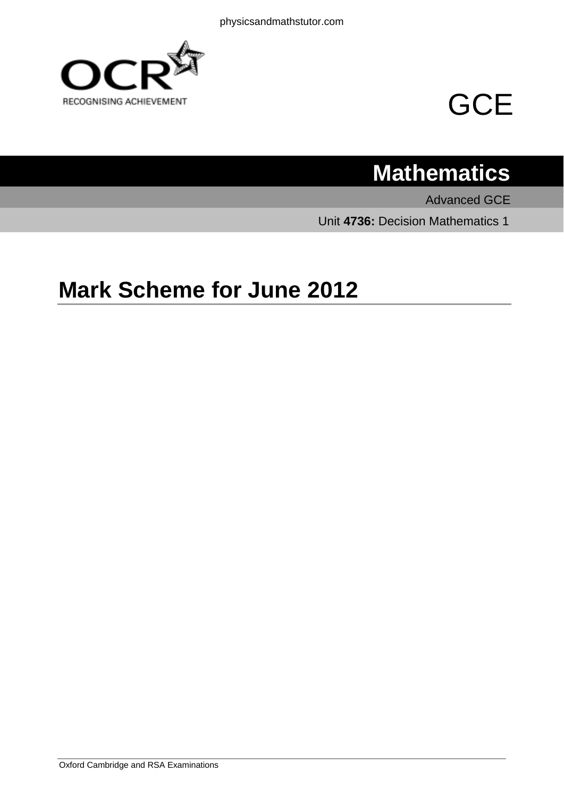



# **Mathematics**

Advanced GCE Unit **4736:** Decision Mathematics 1

# **Mark Scheme for June 2012**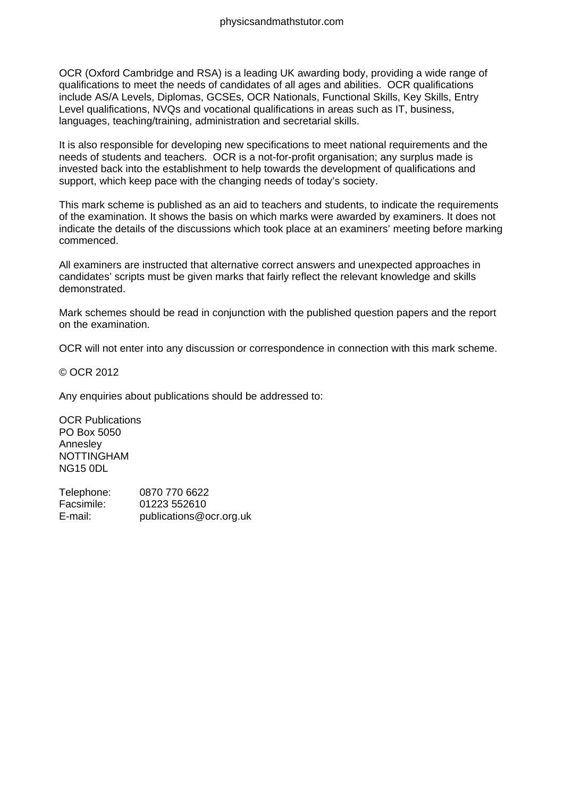OCR (Oxford Cambridge and RSA) is a leading UK awarding body, providing a wide range of qualifications to meet the needs of candidates of all ages and abilities. OCR qualifications include AS/A Levels, Diplomas, GCSEs, OCR Nationals, Functional Skills, Key Skills, Entry Level qualifications, NVQs and vocational qualifications in areas such as IT, business, languages, teaching/training, administration and secretarial skills.

It is also responsible for developing new specifications to meet national requirements and the needs of students and teachers. OCR is a not-for-profit organisation; any surplus made is invested back into the establishment to help towards the development of qualifications and support, which keep pace with the changing needs of today's society.

This mark scheme is published as an aid to teachers and students, to indicate the requirements of the examination. It shows the basis on which marks were awarded by examiners. It does not indicate the details of the discussions which took place at an examiners' meeting before marking commenced.

All examiners are instructed that alternative correct answers and unexpected approaches in candidates' scripts must be given marks that fairly reflect the relevant knowledge and skills demonstrated.

Mark schemes should be read in conjunction with the published question papers and the report on the examination.

OCR will not enter into any discussion or correspondence in connection with this mark scheme.

© OCR 2012

Any enquiries about publications should be addressed to:

OCR Publications PO Box 5050 Annesley NOTTINGHAM NG15 0DL

Telephone: 0870 770 6622 Facsimile: 01223 552610 E-mail: publications@ocr.org.uk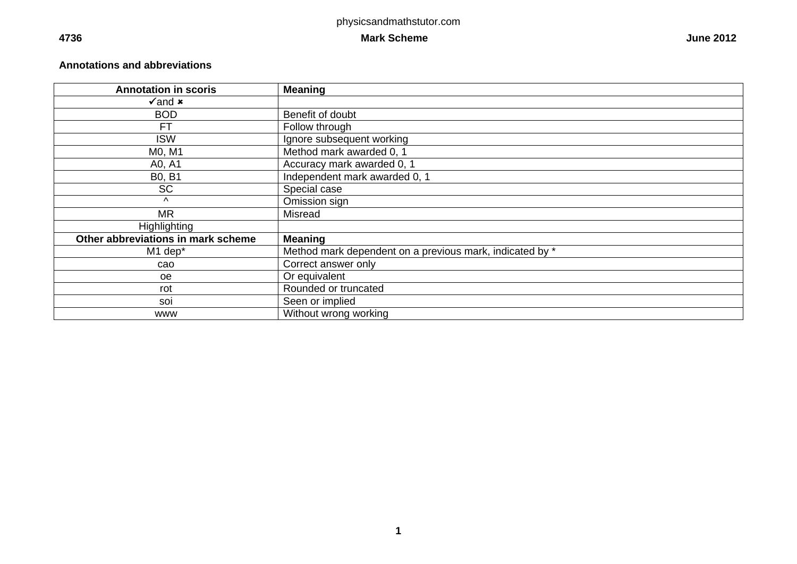# **4736** Mark Scheme

#### **Annotations and abbreviations**

| <b>Annotation in scoris</b>        | <b>Meaning</b>                                           |
|------------------------------------|----------------------------------------------------------|
| $\sqrt{2}$ and $\bm{x}$            |                                                          |
| <b>BOD</b>                         | Benefit of doubt                                         |
| FT                                 | Follow through                                           |
| <b>ISW</b>                         | Ignore subsequent working                                |
| M0, M1                             | Method mark awarded 0, 1                                 |
| A0, A1                             | Accuracy mark awarded 0, 1                               |
| <b>B0, B1</b>                      | Independent mark awarded 0, 1                            |
| <b>SC</b>                          | Special case                                             |
| $\wedge$                           | Omission sign                                            |
| <b>MR</b>                          | Misread                                                  |
| <b>Highlighting</b>                |                                                          |
| Other abbreviations in mark scheme | <b>Meaning</b>                                           |
| M1 dep*                            | Method mark dependent on a previous mark, indicated by * |
| cao                                | Correct answer only                                      |
| <sub>oe</sub>                      | Or equivalent                                            |
| rot                                | Rounded or truncated                                     |
| soi                                | Seen or implied                                          |
| <b>WWW</b>                         | Without wrong working                                    |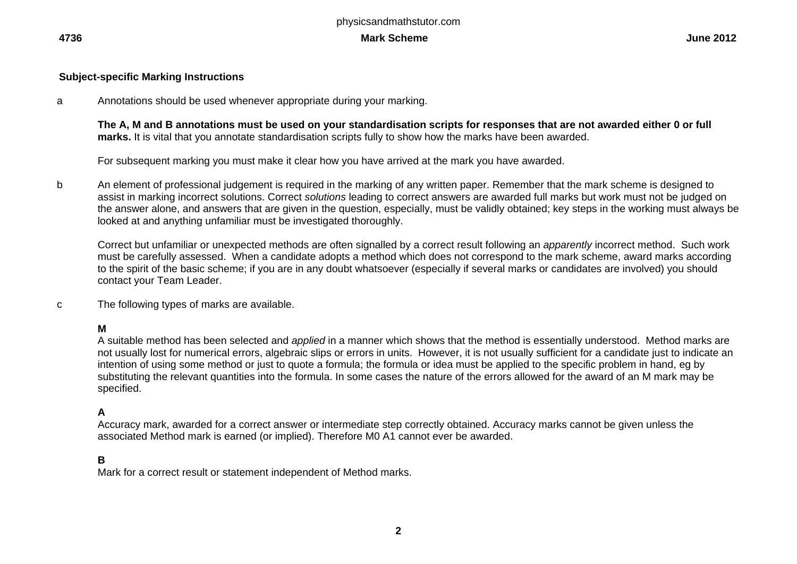#### **Subject-specific Marking Instructions**

a Annotations should be used whenever appropriate during your marking.

**The A, M and B annotations must be used on your standardisation scripts for responses that are not awarded either 0 or full marks.** It is vital that you annotate standardisation scripts fully to show how the marks have been awarded.

For subsequent marking you must make it clear how you have arrived at the mark you have awarded.

b An element of professional judgement is required in the marking of any written paper. Remember that the mark scheme is designed to assist in marking incorrect solutions. Correct *solutions* leading to correct answers are awarded full marks but work must not be judged on the answer alone, and answers that are given in the question, especially, must be validly obtained; key steps in the working must always be looked at and anything unfamiliar must be investigated thoroughly.

Correct but unfamiliar or unexpected methods are often signalled by a correct result following an *apparently* incorrect method. Such work must be carefully assessed. When a candidate adopts a method which does not correspond to the mark scheme, award marks according to the spirit of the basic scheme; if you are in any doubt whatsoever (especially if several marks or candidates are involved) you should contact your Team Leader.

c The following types of marks are available.

# **M**

A suitable method has been selected and *applied* in a manner which shows that the method is essentially understood. Method marks are not usually lost for numerical errors, algebraic slips or errors in units. However, it is not usually sufficient for a candidate just to indicate an intention of using some method or just to quote a formula; the formula or idea must be applied to the specific problem in hand, eg by substituting the relevant quantities into the formula. In some cases the nature of the errors allowed for the award of an M mark may be specified.

#### **A**

Accuracy mark, awarded for a correct answer or intermediate step correctly obtained. Accuracy marks cannot be given unless the associated Method mark is earned (or implied). Therefore M0 A1 cannot ever be awarded.

#### **B**

Mark for a correct result or statement independent of Method marks.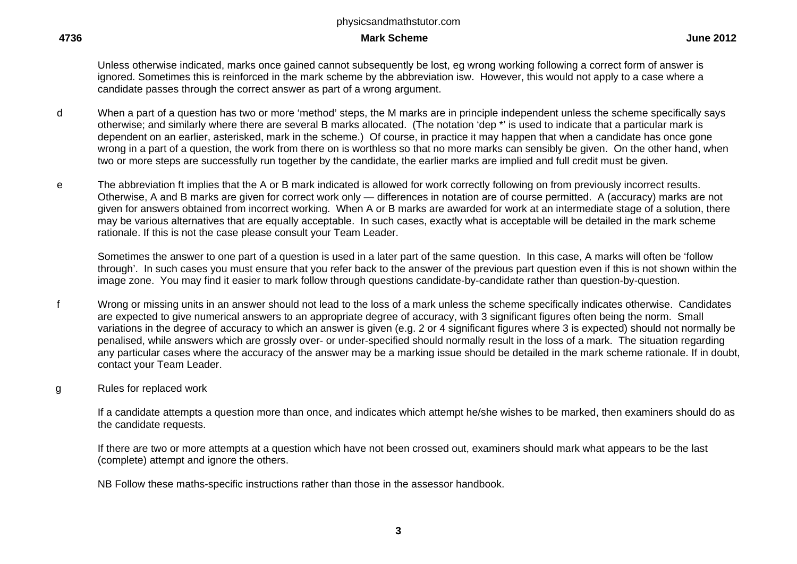#### **4736 Mark Scheme June 2012**

Unless otherwise indicated, marks once gained cannot subsequently be lost, eg wrong working following a correct form of answer is ignored. Sometimes this is reinforced in the mark scheme by the abbreviation isw. However, this would not apply to a case where a candidate passes through the correct answer as part of a wrong argument.

- d When a part of a question has two or more 'method' steps, the M marks are in principle independent unless the scheme specifically says otherwise; and similarly where there are several B marks allocated. (The notation 'dep \*' is used to indicate that a particular mark is dependent on an earlier, asterisked, mark in the scheme.) Of course, in practice it may happen that when a candidate has once gone wrong in a part of a question, the work from there on is worthless so that no more marks can sensibly be given. On the other hand, when two or more steps are successfully run together by the candidate, the earlier marks are implied and full credit must be given.
- e The abbreviation ft implies that the A or B mark indicated is allowed for work correctly following on from previously incorrect results. Otherwise, A and B marks are given for correct work only — differences in notation are of course permitted. A (accuracy) marks are not given for answers obtained from incorrect working. When A or B marks are awarded for work at an intermediate stage of a solution, there may be various alternatives that are equally acceptable. In such cases, exactly what is acceptable will be detailed in the mark scheme rationale. If this is not the case please consult your Team Leader.

Sometimes the answer to one part of a question is used in a later part of the same question. In this case, A marks will often be 'follow through'. In such cases you must ensure that you refer back to the answer of the previous part question even if this is not shown within the image zone. You may find it easier to mark follow through questions candidate-by-candidate rather than question-by-question.

- f Wrong or missing units in an answer should not lead to the loss of a mark unless the scheme specifically indicates otherwise. Candidates are expected to give numerical answers to an appropriate degree of accuracy, with 3 significant figures often being the norm. Small variations in the degree of accuracy to which an answer is given (e.g. 2 or 4 significant figures where 3 is expected) should not normally be penalised, while answers which are grossly over- or under-specified should normally result in the loss of a mark. The situation regarding any particular cases where the accuracy of the answer may be a marking issue should be detailed in the mark scheme rationale. If in doubt, contact your Team Leader.
- g Rules for replaced work

If a candidate attempts a question more than once, and indicates which attempt he/she wishes to be marked, then examiners should do as the candidate requests.

If there are two or more attempts at a question which have not been crossed out, examiners should mark what appears to be the last (complete) attempt and ignore the others.

NB Follow these maths-specific instructions rather than those in the assessor handbook.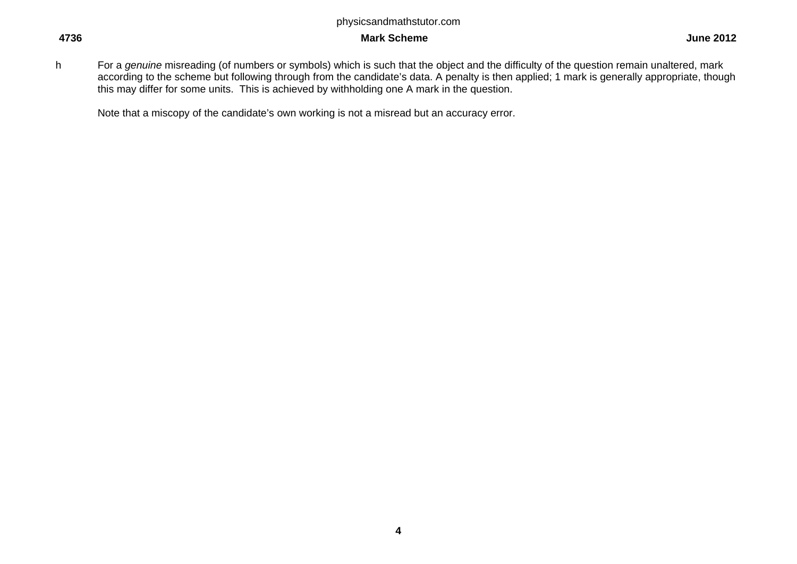#### **4736** Mark Scheme

h For a *genuine* misreading (of numbers or symbols) which is such that the object and the difficulty of the question remain unaltered, mark according to the scheme but following through from the candidate's data. A penalty is then applied; 1 mark is generally appropriate, though this may differ for some units. This is achieved by withholding one A mark in the question.

Note that a miscopy of the candidate's own working is not a misread but an accuracy error.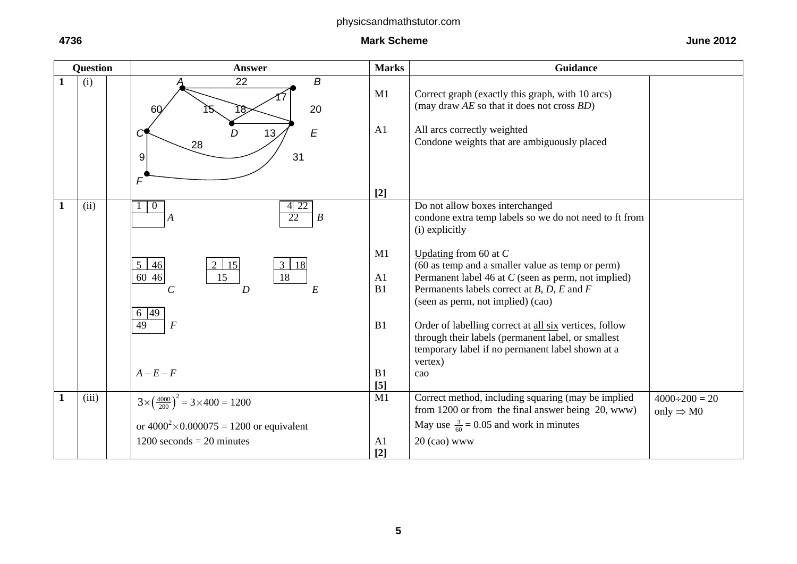|   | <b>Question</b> | <b>Answer</b>                                                                                                                                                                                         | <b>Marks</b>                                    | <b>Guidance</b>                                                                                                                                                                                                                                                                                                                                                                                                                                                                                   |                                               |
|---|-----------------|-------------------------------------------------------------------------------------------------------------------------------------------------------------------------------------------------------|-------------------------------------------------|---------------------------------------------------------------------------------------------------------------------------------------------------------------------------------------------------------------------------------------------------------------------------------------------------------------------------------------------------------------------------------------------------------------------------------------------------------------------------------------------------|-----------------------------------------------|
| 1 | (i)             | B<br>22<br>20<br>60<br>E<br>13 <sub>l</sub><br>28<br>31<br>9<br>$\mathsf{F}$                                                                                                                          | M1<br>A <sub>1</sub>                            | Correct graph (exactly this graph, with 10 arcs)<br>(may draw $AE$ so that it does not cross $BD$ )<br>All arcs correctly weighted<br>Condone weights that are ambiguously placed                                                                                                                                                                                                                                                                                                                 |                                               |
| 1 | (ii)            | $4 \overline{22}$<br>$\overline{0}$                                                                                                                                                                   | $[2]$                                           | Do not allow boxes interchanged                                                                                                                                                                                                                                                                                                                                                                                                                                                                   |                                               |
|   |                 | $\overline{22}$<br>$\boldsymbol{B}$<br>A<br>$5 \mid 46$<br>$3 \mid 18$<br>15<br>18<br>60 46<br>15<br>E<br>$\overline{D}$<br>$\mathcal{C}$<br>6 49<br>$\overline{49}$<br>$\overline{F}$<br>$A - E - F$ | M1<br>A <sub>1</sub><br>B1<br>B1<br>B1<br>$[5]$ | condone extra temp labels so we do not need to ft from<br>(i) explicitly<br>Updating from 60 at $C$<br>(60 as temp and a smaller value as temp or perm)<br>Permanent label 46 at C (seen as perm, not implied)<br>Permanents labels correct at $B$ , $D$ , $E$ and $F$<br>(seen as perm, not implied) (cao)<br>Order of labelling correct at all six vertices, follow<br>through their labels (permanent label, or smallest<br>temporary label if no permanent label shown at a<br>vertex)<br>cao |                                               |
|   | (iii)           | $3 \times \left(\frac{4000}{200}\right)^2 = 3 \times 400 = 1200$                                                                                                                                      | M1                                              | Correct method, including squaring (may be implied<br>from 1200 or from the final answer being 20, www)                                                                                                                                                                                                                                                                                                                                                                                           | $4000 \div 200 = 20$<br>only $\Rightarrow$ M0 |
|   |                 | or $4000^2 \times 0.000075 = 1200$ or equivalent                                                                                                                                                      |                                                 | May use $\frac{3}{60}$ = 0.05 and work in minutes                                                                                                                                                                                                                                                                                                                                                                                                                                                 |                                               |
|   |                 | $1200$ seconds = 20 minutes                                                                                                                                                                           | A <sub>1</sub><br>$[2]$                         | $20$ (cao) www                                                                                                                                                                                                                                                                                                                                                                                                                                                                                    |                                               |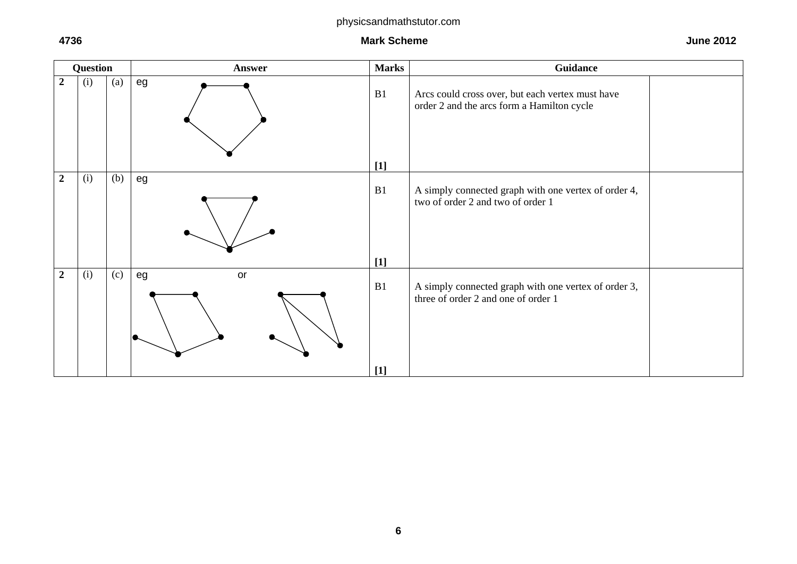**4736** Mark Scheme



**6**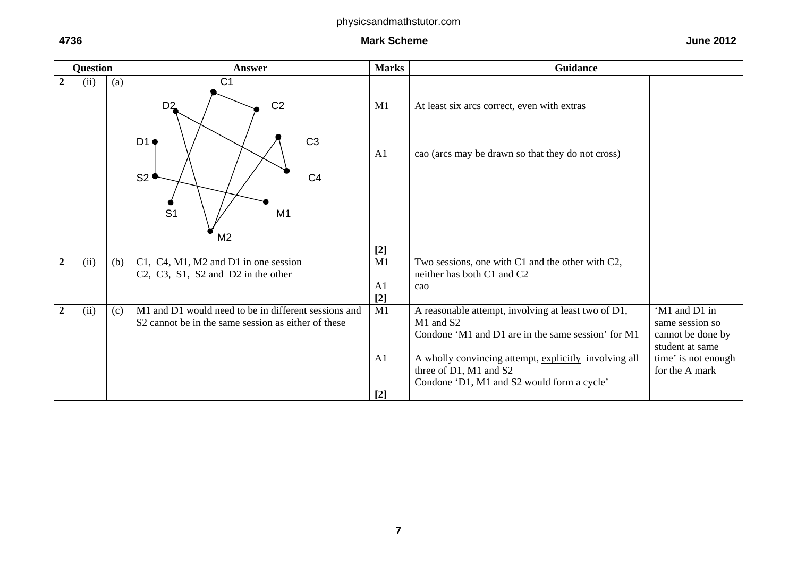|                | <b>Question</b> |     | <b>Answer</b>                                                                                                                             | <b>Marks</b>            | <b>Guidance</b>                                                                                                               |                                                                          |
|----------------|-----------------|-----|-------------------------------------------------------------------------------------------------------------------------------------------|-------------------------|-------------------------------------------------------------------------------------------------------------------------------|--------------------------------------------------------------------------|
| $\overline{2}$ | (ii)            | (a) | C <sub>1</sub>                                                                                                                            |                         |                                                                                                                               |                                                                          |
|                |                 |     | C <sub>2</sub><br>D <sub>2</sub>                                                                                                          | M1                      | At least six arcs correct, even with extras                                                                                   |                                                                          |
|                |                 |     | C <sub>3</sub><br>D1 •<br>S2<br>C <sub>4</sub>                                                                                            | A1                      | cao (arcs may be drawn so that they do not cross)                                                                             |                                                                          |
|                |                 |     | S <sub>1</sub><br>M <sub>1</sub>                                                                                                          |                         |                                                                                                                               |                                                                          |
|                |                 |     | M <sub>2</sub>                                                                                                                            | $[2]$                   |                                                                                                                               |                                                                          |
| $\overline{2}$ | (ii)            | (b) | C1, C4, M1, M2 and D1 in one session<br>C <sub>2</sub> , C <sub>3</sub> , S <sub>1</sub> , S <sub>2</sub> and D <sub>2</sub> in the other | M1                      | Two sessions, one with C1 and the other with C2,<br>neither has both C1 and C2                                                |                                                                          |
|                |                 |     |                                                                                                                                           | A1<br>$[2]$             | cao                                                                                                                           |                                                                          |
| $\overline{2}$ | (ii)            | (c) | M1 and D1 would need to be in different sessions and<br>S2 cannot be in the same session as either of these                               | M1                      | A reasonable attempt, involving at least two of D1,<br>M1 and S2<br>Condone 'M1 and D1 are in the same session' for M1        | 'M1 and D1 in<br>same session so<br>cannot be done by<br>student at same |
|                |                 |     |                                                                                                                                           | A1<br>$\lceil 2 \rceil$ | A wholly convincing attempt, explicitly involving all<br>three of D1, M1 and S2<br>Condone 'D1, M1 and S2 would form a cycle' | time' is not enough<br>for the A mark                                    |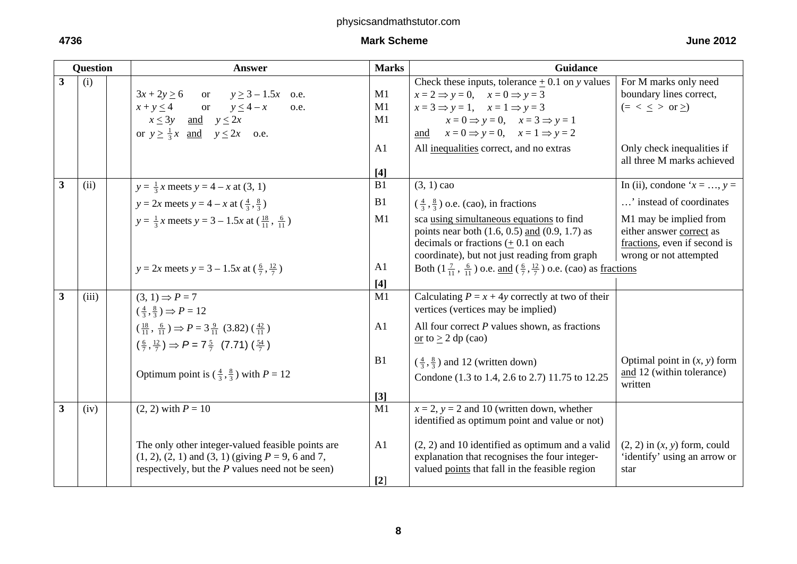|                         | <b>Question</b> | <b>Answer</b>                                                                                                                                                       | <b>Marks</b>            | Guidance                                                                                                                                                                                 |                                                                                                              |  |
|-------------------------|-----------------|---------------------------------------------------------------------------------------------------------------------------------------------------------------------|-------------------------|------------------------------------------------------------------------------------------------------------------------------------------------------------------------------------------|--------------------------------------------------------------------------------------------------------------|--|
| $\overline{3}$          | (i)             |                                                                                                                                                                     |                         | Check these inputs, tolerance $+0.1$ on y values                                                                                                                                         | For M marks only need                                                                                        |  |
|                         |                 | $3x + 2y \ge 6$ or $y \ge 3 - 1.5x$ o.e.                                                                                                                            | M1                      | $x = 2 \implies y = 0, \quad x = 0 \implies y = 3$                                                                                                                                       | boundary lines correct,                                                                                      |  |
|                         |                 | $x+y \le 4$ or $y \le 4-x$<br>o.e.                                                                                                                                  | M1                      | $x = 3 \implies y = 1, \quad x = 1 \implies y = 3$                                                                                                                                       | $(= < \le > or \ge)$                                                                                         |  |
|                         |                 | $x \le 3y$ and $y \le 2x$                                                                                                                                           | M1                      | $x = 0 \implies y = 0, \quad x = 3 \implies y = 1$                                                                                                                                       |                                                                                                              |  |
|                         |                 | or $y \ge \frac{1}{3}x$ and $y \le 2x$ o.e.                                                                                                                         |                         | and $x = 0 \implies y = 0, \quad x = 1 \implies y = 2$                                                                                                                                   |                                                                                                              |  |
|                         |                 |                                                                                                                                                                     | A <sub>1</sub>          | All inequalities correct, and no extras                                                                                                                                                  | Only check inequalities if<br>all three M marks achieved                                                     |  |
|                         |                 |                                                                                                                                                                     | $[4]$                   |                                                                                                                                                                                          |                                                                                                              |  |
| $\overline{\mathbf{3}}$ | (ii)            | $y = \frac{1}{3}x$ meets $y = 4 - x$ at (3, 1)                                                                                                                      | B1                      | $(3, 1)$ cao                                                                                                                                                                             | In (ii), condone ' $x = , y =$                                                                               |  |
|                         |                 | $y = 2x$ meets $y = 4 - x$ at $(\frac{4}{3}, \frac{8}{3})$                                                                                                          | B1                      | $\left(\frac{4}{3}, \frac{8}{3}\right)$ o.e. (cao), in fractions                                                                                                                         | ' instead of coordinates                                                                                     |  |
|                         |                 | $y = \frac{1}{3}x$ meets $y = 3 - 1.5x$ at $(\frac{18}{11}, \frac{6}{11})$                                                                                          | M1                      | sca using simultaneous equations to find<br>points near both $(1.6, 0.5)$ and $(0.9, 1.7)$ as<br>decimals or fractions $(+ 0.1)$ on each<br>coordinate), but not just reading from graph | M1 may be implied from<br>either answer correct as<br>fractions, even if second is<br>wrong or not attempted |  |
|                         |                 |                                                                                                                                                                     | A1                      |                                                                                                                                                                                          |                                                                                                              |  |
|                         |                 | $y = 2x$ meets $y = 3 - 1.5x$ at $(\frac{6}{7}, \frac{12}{7})$                                                                                                      |                         | Both $(1\frac{7}{11}, \frac{6}{11})$ o.e. and $(\frac{6}{7}, \frac{12}{7})$ o.e. (cao) as fractions                                                                                      |                                                                                                              |  |
|                         |                 |                                                                                                                                                                     | $[4]$                   |                                                                                                                                                                                          |                                                                                                              |  |
| $\overline{\mathbf{3}}$ | (iii)           | $(3, 1) \Rightarrow P = 7$                                                                                                                                          | M1                      | Calculating $P = x + 4y$ correctly at two of their                                                                                                                                       |                                                                                                              |  |
|                         |                 | $\left(\frac{4}{3},\frac{8}{3}\right) \Rightarrow P = 12$                                                                                                           |                         | vertices (vertices may be implied)                                                                                                                                                       |                                                                                                              |  |
|                         |                 | $\left(\frac{18}{11}, \frac{6}{11}\right) \Rightarrow P = 3\frac{9}{11}$ (3.82) $\left(\frac{42}{11}\right)$                                                        | A1                      | All four correct $P$ values shown, as fractions                                                                                                                                          |                                                                                                              |  |
|                         |                 | $\left(\frac{6}{7},\frac{12}{7}\right) \Rightarrow P = 7\frac{5}{7}$ (7.71) $\left(\frac{54}{7}\right)$                                                             |                         | or to $\geq$ 2 dp (cao)                                                                                                                                                                  |                                                                                                              |  |
|                         |                 | Optimum point is $(\frac{4}{3}, \frac{8}{3})$ with $P = 12$                                                                                                         | B1                      | $\left(\frac{4}{3}, \frac{8}{3}\right)$ and 12 (written down)<br>Condone (1.3 to 1.4, 2.6 to 2.7) 11.75 to 12.25                                                                         | Optimal point in $(x, y)$ form<br>and 12 (within tolerance)                                                  |  |
|                         |                 |                                                                                                                                                                     | $[3]$                   |                                                                                                                                                                                          | written                                                                                                      |  |
| $\overline{\mathbf{3}}$ | (iv)            | $(2, 2)$ with $P = 10$                                                                                                                                              | M1                      | $x = 2$ , $y = 2$ and 10 (written down, whether                                                                                                                                          |                                                                                                              |  |
|                         |                 |                                                                                                                                                                     |                         | identified as optimum point and value or not)                                                                                                                                            |                                                                                                              |  |
|                         |                 | The only other integer-valued feasible points are<br>$(1, 2), (2, 1)$ and $(3, 1)$ (giving $P = 9$ , 6 and 7,<br>respectively, but the $P$ values need not be seen) | A <sub>1</sub><br>$[2]$ | $(2, 2)$ and 10 identified as optimum and a valid<br>explanation that recognises the four integer-<br>valued points that fall in the feasible region                                     | $(2, 2)$ in $(x, y)$ form, could<br>'identify' using an arrow or<br>star                                     |  |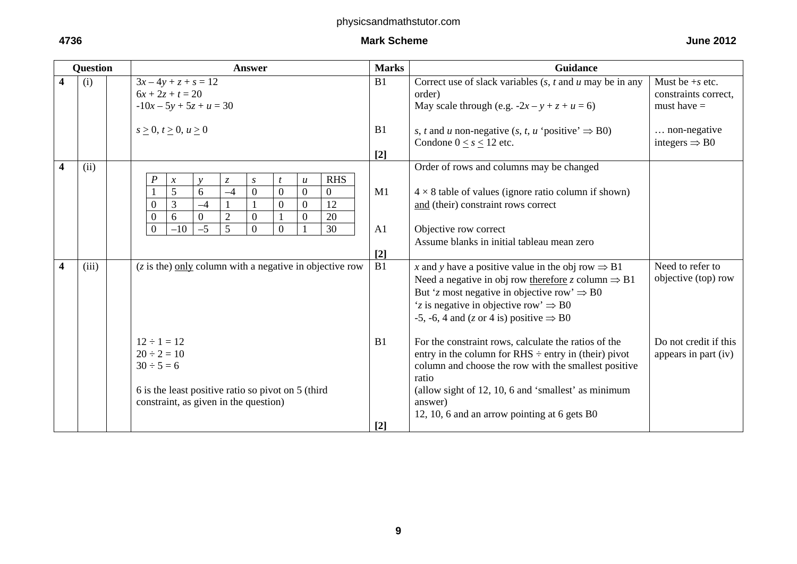| <b>Question</b> |       | <b>Answer</b>                                                                                                                                                                                                                                                                                                                                                                                                                                                                                       | <b>Marks</b>          | <b>Guidance</b>                                                                                                                                                                                                                                                                                                                                                                                                                                                                                                                                        |                                                                                          |
|-----------------|-------|-----------------------------------------------------------------------------------------------------------------------------------------------------------------------------------------------------------------------------------------------------------------------------------------------------------------------------------------------------------------------------------------------------------------------------------------------------------------------------------------------------|-----------------------|--------------------------------------------------------------------------------------------------------------------------------------------------------------------------------------------------------------------------------------------------------------------------------------------------------------------------------------------------------------------------------------------------------------------------------------------------------------------------------------------------------------------------------------------------------|------------------------------------------------------------------------------------------|
| 4               | (i)   | $3x-4y+z+s=12$<br>$6x + 2z + t = 20$<br>$-10x - 5y + 5z + u = 30$                                                                                                                                                                                                                                                                                                                                                                                                                                   | B1                    | Correct use of slack variables $(s, t \text{ and } u \text{ may be in any})$<br>order)<br>May scale through (e.g. $-2x - y + z + u = 6$ )                                                                                                                                                                                                                                                                                                                                                                                                              | Must be $+s$ etc.<br>constraints correct,<br>must have $=$                               |
|                 |       | s > 0, t > 0, u > 0                                                                                                                                                                                                                                                                                                                                                                                                                                                                                 | B1<br>$[2]$           | s, t and u non-negative (s, t, u 'positive' $\Rightarrow$ B0)<br>Condone $0 < s < 12$ etc.                                                                                                                                                                                                                                                                                                                                                                                                                                                             | non-negative<br>integers $\Rightarrow$ B0                                                |
| 4               | (ii)  | <b>RHS</b><br>$\boldsymbol{P}$<br>$\ensuremath{\mathnormal{Z}}$<br>$\boldsymbol{S}$<br>$\boldsymbol{\mathcal{X}}$<br>$\mathbf{v}$<br>$\boldsymbol{u}$<br>5<br>6<br>$\overline{0}$<br>$\boldsymbol{0}$<br>$-4$<br>$\theta$<br>$\overline{0}$<br>3<br>$\overline{0}$<br>$\overline{0}$<br>$\overline{0}$<br>12<br>$-4$<br>$\overline{2}$<br>20<br>$\overline{0}$<br>$\overline{0}$<br>$\boldsymbol{0}$<br>$\boldsymbol{0}$<br>6<br>$\theta$<br>5<br>$\overline{0}$<br>$-10$<br>$-5$<br>30<br>$\theta$ | M1<br>A1<br>$[2]$     | Order of rows and columns may be changed<br>$4 \times 8$ table of values (ignore ratio column if shown)<br>and (their) constraint rows correct<br>Objective row correct<br>Assume blanks in initial tableau mean zero                                                                                                                                                                                                                                                                                                                                  |                                                                                          |
| 4               | (iii) | $(z$ is the) only column with a negative in objective row<br>$12 \div 1 = 12$<br>$20 \div 2 = 10$<br>$30 \div 5 = 6$<br>6 is the least positive ratio so pivot on 5 (third                                                                                                                                                                                                                                                                                                                          | $\overline{B1}$<br>B1 | x and y have a positive value in the obj row $\Rightarrow$ B1<br>Need a negative in obj row therefore z column $\Rightarrow$ B1<br>But 'z most negative in objective row' $\Rightarrow$ B0<br>'z is negative in objective row' $\Rightarrow$ B0<br>-5, -6, 4 and (z or 4 is) positive $\Rightarrow$ B0<br>For the constraint rows, calculate the ratios of the<br>entry in the column for $R$ HS $\div$ entry in (their) pivot<br>column and choose the row with the smallest positive<br>ratio<br>(allow sight of 12, 10, 6 and 'smallest' as minimum | Need to refer to<br>objective (top) row<br>Do not credit if this<br>appears in part (iv) |
|                 |       | constraint, as given in the question)                                                                                                                                                                                                                                                                                                                                                                                                                                                               | $\lceil 2 \rceil$     | answer)<br>12, 10, 6 and an arrow pointing at 6 gets B0                                                                                                                                                                                                                                                                                                                                                                                                                                                                                                |                                                                                          |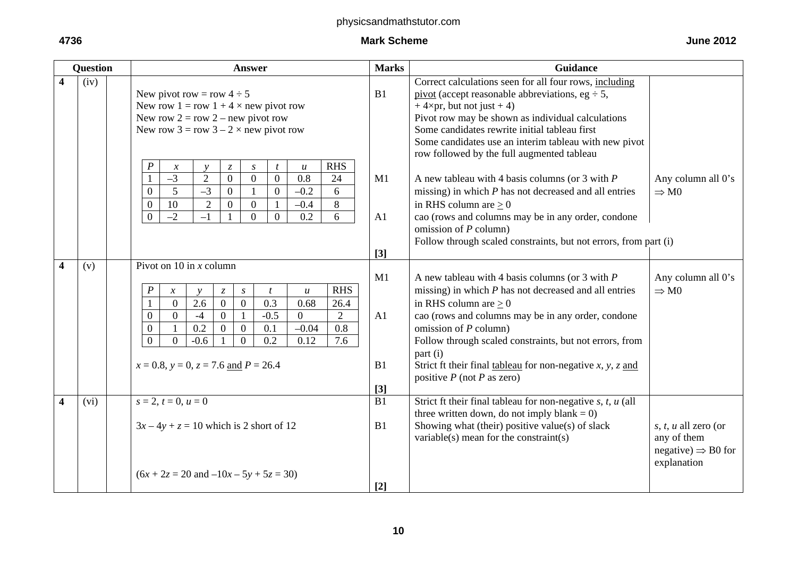| <b>Question</b>         |      | <b>Answer</b>                                                                                                                                                                                                                                                                                                                                                                                                                                                                                                                                                                                              | <b>Marks</b>            | Guidance                                                                                                                                                                                                                                                                                                                                                                                                          |                                                                                      |
|-------------------------|------|------------------------------------------------------------------------------------------------------------------------------------------------------------------------------------------------------------------------------------------------------------------------------------------------------------------------------------------------------------------------------------------------------------------------------------------------------------------------------------------------------------------------------------------------------------------------------------------------------------|-------------------------|-------------------------------------------------------------------------------------------------------------------------------------------------------------------------------------------------------------------------------------------------------------------------------------------------------------------------------------------------------------------------------------------------------------------|--------------------------------------------------------------------------------------|
| $\overline{\mathbf{4}}$ | (iv) | New pivot row = row $4 \div 5$<br>New row $1 = row 1 + 4 \times new pivot row$<br>New row $2 = row 2 - new pivot row$<br>New row $3 = row 3 - 2 \times new pivot row$                                                                                                                                                                                                                                                                                                                                                                                                                                      | B1                      | Correct calculations seen for all four rows, including<br>pivot (accept reasonable abbreviations, eg $\div$ 5,<br>$+4\times pr$ , but not just + 4)<br>Pivot row may be shown as individual calculations<br>Some candidates rewrite initial tableau first<br>Some candidates use an interim tableau with new pivot<br>row followed by the full augmented tableau                                                  |                                                                                      |
|                         |      | <b>RHS</b><br>$\boldsymbol{P}$<br>$\mathcal{Z}$<br>$\boldsymbol{S}$<br>$\boldsymbol{t}$<br>$\boldsymbol{u}$<br>$\boldsymbol{\mathcal{X}}$<br>$\mathbf{v}$<br>$-3$<br>$\overline{2}$<br>$\overline{0}$<br>0.8<br>$\overline{0}$<br>$\overline{0}$<br>24<br>$\overline{5}$<br>$-3$<br>$\theta$<br>$\mathbf{0}$<br>$\overline{0}$<br>$-0.2$<br>$\mathbf{1}$<br>6<br>10<br>$\overline{2}$<br>$-0.4$<br>8<br>$\overline{0}$<br>$\overline{0}$<br>$\overline{0}$<br>$\overline{1}$<br>$-2$<br>0.2<br>$\overline{0}$<br>$-1$<br>$\Omega$<br>$\theta$<br>6                                                         | M1<br>A1<br>$[3]$       | A new tableau with 4 basis columns (or 3 with $P$<br>missing) in which $P$ has not decreased and all entries<br>in RHS column are $> 0$<br>cao (rows and columns may be in any order, condone<br>omission of $P$ column)<br>Follow through scaled constraints, but not errors, from part (i)                                                                                                                      | Any column all 0's<br>$\Rightarrow$ M <sub>0</sub>                                   |
| $\overline{\mathbf{4}}$ | (v)  | Pivot on 10 in $x$ column<br><b>RHS</b><br>P<br>$\boldsymbol{x}$<br>$\boldsymbol{S}$<br>$\mathfrak{t}$<br>$\boldsymbol{u}$<br>$\mathcal{Z}$<br>$\mathcal{Y}$<br>2.6<br>$\overline{0}$<br>$\overline{0.3}$<br>$\mathbf{0}$<br>0.68<br>$\overline{0}$<br>26.4<br>$-0.5$<br>$\overline{2}$<br>$\overline{0}$<br>$\Omega$<br>$\overline{0}$<br>$-4$<br>$\overline{0}$<br>$\mathbf{1}$<br>0.2<br>$\overline{0}$<br>0.8<br>$\overline{0}$<br>0.1<br>$-0.04$<br>$\Omega$<br>$\theta$<br>$\overline{0.2}$<br>$\overline{0}$<br>$\theta$<br>$-0.6$<br>0.12<br>7.6<br>$x = 0.8$ , $y = 0$ , $z = 7.6$ and $P = 26.4$ | M1<br>A1<br>B1<br>$[3]$ | A new tableau with 4 basis columns (or 3 with $P$<br>missing) in which $P$ has not decreased and all entries<br>in RHS column are $\geq 0$<br>cao (rows and columns may be in any order, condone<br>omission of $P$ column)<br>Follow through scaled constraints, but not errors, from<br>part (i)<br>Strict ft their final <u>tableau</u> for non-negative $x$ , $y$ , $z$ and<br>positive $P$ (not $P$ as zero) | Any column all 0's<br>$\Rightarrow$ M <sub>0</sub>                                   |
| 4                       | (vi) | $s = 2, t = 0, u = 0$<br>$3x-4y+z=10$ which is 2 short of 12<br>$(6x + 2z = 20$ and $-10x - 5y + 5z = 30)$                                                                                                                                                                                                                                                                                                                                                                                                                                                                                                 | B1<br>B1<br>$[2]$       | Strict ft their final tableau for non-negative $s, t, u$ (all<br>three written down, do not imply blank = $0$ )<br>Showing what (their) positive value(s) of slack<br>variable(s) mean for the constraint(s)                                                                                                                                                                                                      | s, t, u all zero (or<br>any of them<br>negative) $\Rightarrow$ B0 for<br>explanation |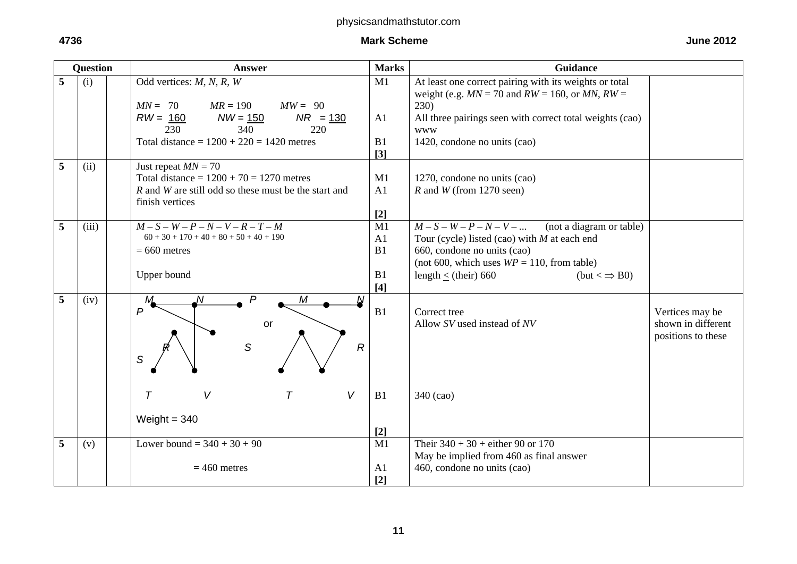| <b>Question</b> |       | <b>Answer</b>                                               | <b>Marks</b>   | <b>Guidance</b>                                          |                    |
|-----------------|-------|-------------------------------------------------------------|----------------|----------------------------------------------------------|--------------------|
| 5               | (i)   | Odd vertices: $M, N, R, W$                                  | M1             | At least one correct pairing with its weights or total   |                    |
|                 |       |                                                             |                | weight (e.g. $MN = 70$ and $RW = 160$ , or $MN$ , $RW =$ |                    |
|                 |       | $MW = 90$<br>$MN = 70$<br>$MR = 190$                        |                | 230)                                                     |                    |
|                 |       | $NR = 130$<br>$RW = 160$<br>$NW = 150$<br>230<br>340<br>220 | A1             | All three pairings seen with correct total weights (cao) |                    |
|                 |       | Total distance = $1200 + 220 = 1420$ metres                 | B1             | <b>WWW</b><br>1420, condone no units (cao)               |                    |
|                 |       |                                                             | $[3]$          |                                                          |                    |
| 5               | (ii)  | Just repeat $MN = 70$                                       |                |                                                          |                    |
|                 |       | Total distance = $1200 + 70 = 1270$ metres                  | M1             | 1270, condone no units (cao)                             |                    |
|                 |       | R and W are still odd so these must be the start and        | A1             | $R$ and $W$ (from 1270 seen)                             |                    |
|                 |       | finish vertices                                             |                |                                                          |                    |
|                 |       |                                                             | $[2]$          |                                                          |                    |
| 5               | (iii) | $M-S-W-P-N-V-R-T-M$                                         | M1             | $M-S-W-P-N-V-$<br>(not a diagram or table)               |                    |
|                 |       | $60 + 30 + 170 + 40 + 80 + 50 + 40 + 190$                   | A1             | Tour (cycle) listed (cao) with $M$ at each end           |                    |
|                 |       | $= 660$ metres                                              | B1             | 660, condone no units (cao)                              |                    |
|                 |       |                                                             |                | (not 600, which uses $WP = 110$ , from table)            |                    |
|                 |       | Upper bound                                                 | B1             | length $\le$ (their) 660<br>$(but < \Rightarrow B0)$     |                    |
| 5               |       | P<br>M<br>N<br>Ν                                            | $[4]$          |                                                          |                    |
|                 | (iv)  | M<br>$\overline{P}$                                         | B1             | Correct tree                                             | Vertices may be    |
|                 |       | or                                                          |                | Allow SV used instead of NV                              | shown in different |
|                 |       |                                                             |                |                                                          | positions to these |
|                 |       | $\mathcal{S}$<br>$\mathcal{R}$                              |                |                                                          |                    |
|                 |       | S                                                           |                |                                                          |                    |
|                 |       |                                                             |                |                                                          |                    |
|                 |       | V<br>$\tau$<br>V<br>$\tau$                                  |                |                                                          |                    |
|                 |       |                                                             | B1             | 340 (cao)                                                |                    |
|                 |       | Weight $= 340$                                              |                |                                                          |                    |
|                 |       |                                                             | $[2]$          |                                                          |                    |
| 5               | (v)   | Lower bound = $340 + 30 + 90$                               | M1             | Their $340 + 30 +$ either 90 or 170                      |                    |
|                 |       |                                                             |                | May be implied from 460 as final answer                  |                    |
|                 |       | $= 460$ metres                                              | A <sub>1</sub> | 460, condone no units (cao)                              |                    |
|                 |       |                                                             | $[2]$          |                                                          |                    |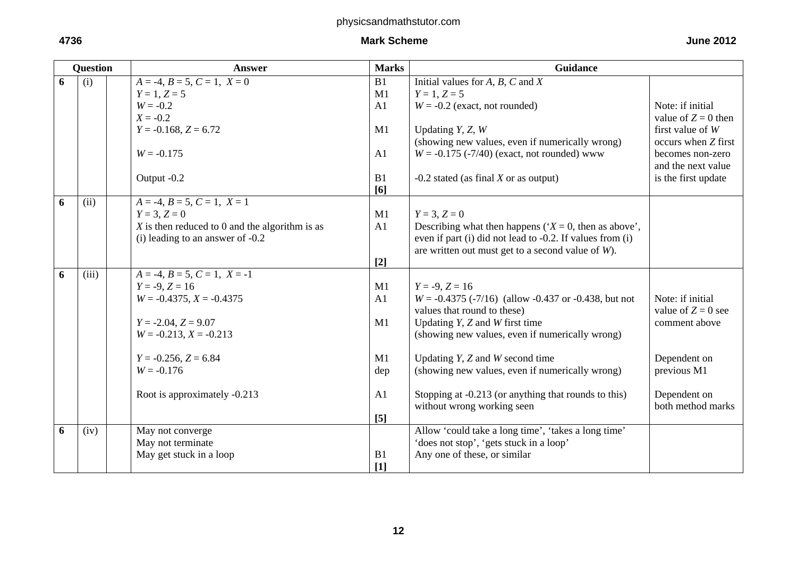# **4736** Mark Scheme June 2012 Mark Scheme June 2012 Mark Scheme June 2012 12:36

|--|

|   | <b>Question</b> | <b>Answer</b>                                    | <b>Marks</b>   | <b>Guidance</b>                                           |                       |
|---|-----------------|--------------------------------------------------|----------------|-----------------------------------------------------------|-----------------------|
| 6 | (i)             | $A = -4, B = 5, C = 1, X = 0$                    | B1             | Initial values for $A, B, C$ and $X$                      |                       |
|   |                 | $Y = 1, Z = 5$                                   | M1             | $Y = 1, Z = 5$                                            |                       |
|   |                 | $W = -0.2$                                       | A1             | $W = -0.2$ (exact, not rounded)                           | Note: if initial      |
|   |                 | $X = -0.2$                                       |                |                                                           | value of $Z = 0$ then |
|   |                 | $Y = -0.168$ , $Z = 6.72$                        | M1             | Updating $Y, Z, W$                                        | first value of $W$    |
|   |                 |                                                  |                | (showing new values, even if numerically wrong)           | occurs when Z first   |
|   |                 | $W = -0.175$                                     | A1             | $W = -0.175$ (-7/40) (exact, not rounded) www             | becomes non-zero      |
|   |                 |                                                  |                |                                                           | and the next value    |
|   |                 | Output -0.2                                      | B1             | $-0.2$ stated (as final X or as output)                   | is the first update   |
|   |                 |                                                  | [6]            |                                                           |                       |
| 6 | (ii)            | $A = -4, B = 5, C = 1, X = 1$                    |                |                                                           |                       |
|   |                 | $Y = 3, Z = 0$                                   | M1             | $Y = 3, Z = 0$                                            |                       |
|   |                 | $X$ is then reduced to 0 and the algorithm is as | A1             | Describing what then happens ( $X = 0$ , then as above',  |                       |
|   |                 | $(i)$ leading to an answer of $-0.2$             |                | even if part (i) did not lead to -0.2. If values from (i) |                       |
|   |                 |                                                  |                | are written out must get to a second value of $W$ ).      |                       |
|   |                 |                                                  | $[2]$          |                                                           |                       |
| 6 | (iii)           | $A = -4, B = 5, C = 1, X = -1$                   |                |                                                           |                       |
|   |                 | $Y = -9, Z = 16$                                 | M1             | $Y = -9, Z = 16$                                          |                       |
|   |                 | $W = -0.4375$ , $X = -0.4375$                    | A1             | $W = -0.4375 (-7/16)$ (allow -0.437 or -0.438, but not    | Note: if initial      |
|   |                 |                                                  |                | values that round to these)                               | value of $Z = 0$ see  |
|   |                 | $Y = -2.04$ , $Z = 9.07$                         | M1             | Updating $Y$ , $Z$ and $W$ first time                     | comment above         |
|   |                 | $W = -0.213, X = -0.213$                         |                | (showing new values, even if numerically wrong)           |                       |
|   |                 | $Y = -0.256$ , $Z = 6.84$                        | M1             | Updating $Y$ , $Z$ and $W$ second time                    | Dependent on          |
|   |                 | $W = -0.176$                                     | dep            | (showing new values, even if numerically wrong)           | previous M1           |
|   |                 |                                                  |                |                                                           |                       |
|   |                 | Root is approximately -0.213                     | A <sub>1</sub> | Stopping at -0.213 (or anything that rounds to this)      | Dependent on          |
|   |                 |                                                  |                | without wrong working seen                                | both method marks     |
|   |                 |                                                  | [5]            |                                                           |                       |
| 6 | (iv)            | May not converge                                 |                | Allow 'could take a long time', 'takes a long time'       |                       |
|   |                 | May not terminate                                |                | 'does not stop', 'gets stuck in a loop'                   |                       |
|   |                 | May get stuck in a loop                          | B1             | Any one of these, or similar                              |                       |
|   |                 |                                                  | [1]            |                                                           |                       |